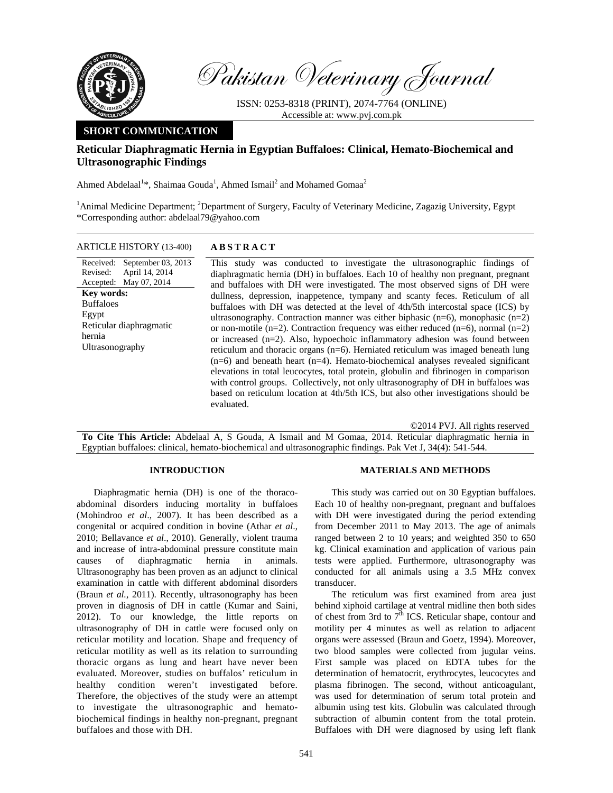

Pakistan Veterinary Journal

ISSN: 0253-8318 (PRINT), 2074-7764 (ONLINE) Accessible at: www.pvj.com.pk

## **SHORT COMMUNICATION**

# **Reticular Diaphragmatic Hernia in Egyptian Buffaloes: Clinical, Hemato-Biochemical and Ultrasonographic Findings**

Ahmed Abdelaal<sup>1</sup>\*, Shaimaa Gouda<sup>1</sup>, Ahmed Ismail<sup>2</sup> and Mohamed Gomaa<sup>2</sup>

<sup>1</sup> Animal Medicine Department; <sup>2</sup> Department of Surgery, Faculty of Veterinary Medicine, Zagazig University, Egypt \*Corresponding author: abdelaal79@yahoo.com

ARTICLE HISTORY (13-400) **ABSTRACT** 

Received: Revised: Accepted: September 03, 2013 April 14, 2014 May 07, 2014 **Key words:**  Buffaloes Egypt Reticular diaphragmatic hernia Ultrasonography

 This study was conducted to investigate the ultrasonographic findings of diaphragmatic hernia (DH) in buffaloes. Each 10 of healthy non pregnant, pregnant and buffaloes with DH were investigated. The most observed signs of DH were dullness, depression, inappetence, tympany and scanty feces. Reticulum of all buffaloes with DH was detected at the level of 4th/5th intercostal space (ICS) by ultrasonography. Contraction manner was either biphasic  $(n=6)$ , monophasic  $(n=2)$ or non-motile (n=2). Contraction frequency was either reduced (n=6), normal (n=2) or increased (n=2). Also, hypoechoic inflammatory adhesion was found between reticulum and thoracic organs (n=6). Herniated reticulum was imaged beneath lung  $(n=6)$  and beneath heart  $(n=4)$ . Hemato-biochemical analyses revealed significant elevations in total leucocytes, total protein, globulin and fibrinogen in comparison with control groups. Collectively, not only ultrasonography of DH in buffaloes was based on reticulum location at 4th/5th ICS, but also other investigations should be evaluated.

©2014 PVJ. All rights reserved

**To Cite This Article:** Abdelaal A, S Gouda, A Ismail and M Gomaa, 2014. Reticular diaphragmatic hernia in Egyptian buffaloes: clinical, hemato-biochemical and ultrasonographic findings. Pak Vet J, 34(4): 541-544.

#### **INTRODUCTION**

Diaphragmatic hernia (DH) is one of the thoracoabdominal disorders inducing mortality in buffaloes (Mohindroo *et al*., 2007). It has been described as a congenital or acquired condition in bovine (Athar *et al*., 2010; Bellavance *et al*., 2010). Generally, violent trauma and increase of intra-abdominal pressure constitute main causes of diaphragmatic hernia in animals. Ultrasonography has been proven as an adjunct to clinical examination in cattle with different abdominal disorders (Braun *et al.,* 2011). Recently, ultrasonography has been proven in diagnosis of DH in cattle (Kumar and Saini, 2012). To our knowledge, the little reports on ultrasonography of DH in cattle were focused only on reticular motility and location. Shape and frequency of reticular motility as well as its relation to surrounding thoracic organs as lung and heart have never been evaluated. Moreover, studies on buffalos' reticulum in healthy condition weren't investigated before. Therefore, the objectives of the study were an attempt to investigate the ultrasonographic and hematobiochemical findings in healthy non-pregnant, pregnant buffaloes and those with DH.

#### **MATERIALS AND METHODS**

This study was carried out on 30 Egyptian buffaloes. Each 10 of healthy non-pregnant, pregnant and buffaloes with DH were investigated during the period extending from December 2011 to May 2013. The age of animals ranged between 2 to 10 years; and weighted 350 to 650 kg. Clinical examination and application of various pain tests were applied. Furthermore, ultrasonography was conducted for all animals using a 3.5 MHz convex transducer.

The reticulum was first examined from area just behind xiphoid cartilage at ventral midline then both sides of chest from 3rd to  $7<sup>th</sup>$  ICS. Reticular shape, contour and motility per 4 minutes as well as relation to adjacent organs were assessed (Braun and Goetz, 1994). Moreover, two blood samples were collected from jugular veins. First sample was placed on EDTA tubes for the determination of hematocrit, erythrocytes, leucocytes and plasma fibrinogen. The second, without anticoagulant, was used for determination of serum total protein and albumin using test kits. Globulin was calculated through subtraction of albumin content from the total protein. Buffaloes with DH were diagnosed by using left flank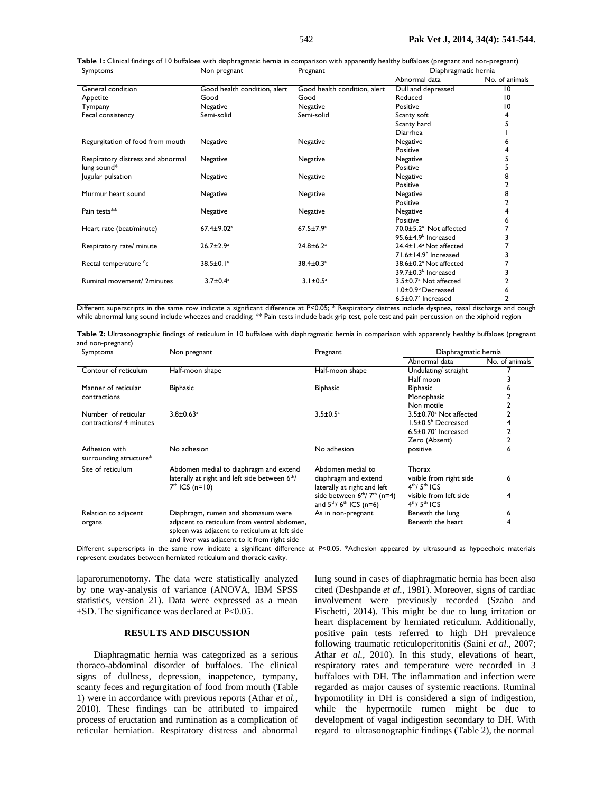| <b>Symptoms</b>                   | TVOIT DI EXITATIU            | гтехнанс                     | Diaphi agrilatic nerma               |                |
|-----------------------------------|------------------------------|------------------------------|--------------------------------------|----------------|
|                                   |                              |                              | Abnormal data                        | No. of animals |
| General condition                 | Good health condition, alert | Good health condition, alert | Dull and depressed                   | $\overline{0}$ |
| Appetite                          | Good                         | Good                         | Reduced                              | $\overline{0}$ |
| Tympany                           | Negative                     | Negative                     | Positive                             | 10             |
| Fecal consistency                 | Semi-solid                   | Semi-solid                   | Scanty soft                          | 4              |
|                                   |                              |                              | Scanty hard                          |                |
|                                   |                              |                              | <b>Diarrhea</b>                      |                |
| Regurgitation of food from mouth  | Negative                     | Negative                     | Negative                             | ь              |
|                                   |                              |                              | Positive                             |                |
| Respiratory distress and abnormal | Negative                     | Negative                     | Negative                             |                |
| lung sound*                       |                              |                              | Positive                             | 5              |
| Jugular pulsation                 | Negative                     | Negative                     | Negative                             | 8              |
|                                   |                              |                              | Positive                             | 2              |
| Murmur heart sound                | Negative                     | Negative                     | Negative                             | 8              |
|                                   |                              |                              | Positive                             |                |
| Pain tests**                      | Negative                     | Negative                     | Negative                             | 4              |
|                                   |                              |                              | Positive                             | 6              |
| Heart rate (beat/minute)          | 67.4±9.02 <sup>a</sup>       | $67.5 \pm 7.9^a$             | 70.0±5.2 <sup>a</sup> Not affected   |                |
|                                   |                              |                              | $95.6 \pm 4.9$ Increased             |                |
| Respiratory rate/ minute          | $26.7 \pm 2.9^a$             | $24.8 \pm 6.2$ <sup>a</sup>  | 24.4±1.4 <sup>a</sup> Not affected   |                |
|                                   |                              |                              | $71.6 \pm 14.9$ Increased            |                |
| Rectal temperature <sup>o</sup> c | 38.5±0.1 <sup>a</sup>        | $38.4 \pm 0.3$ <sup>a</sup>  | 38.6±0.2 <sup>a</sup> Not affected   |                |
|                                   |                              |                              | 39.7±0.3 <sup>b</sup> Increased      |                |
| Ruminal movement/ 2minutes        | $3.7 \pm 0.4^a$              | $3.1 \pm 0.5^a$              | 3.5±0.7 <sup>a</sup> Not affected    | 2              |
|                                   |                              |                              | 1.0±0.9 <sup>b</sup> Decreased       | 6              |
|                                   |                              |                              | $6.5 \pm 0.7$ <sup>c</sup> Increased | 2              |

Different superscripts in the same row indicate a significant difference at P<0.05; \* Respiratory distress include dyspnea, nasal discharge and cough while abnormal lung sound include wheezes and crackling; \*\* Pain tests include back grip test, pole test and pain percussion on the xiphoid region

Table 2: Ultrasonographic findings of reticulum in 10 buffaloes with diaphragmatic hernia in comparison with apparently healthy buffaloes (pregnant and non-pregnant)

| Symptoms                                | Non pregnant                                                                                                                                 | Pregnant                                                                 | Diaphragmatic hernia                        |                |
|-----------------------------------------|----------------------------------------------------------------------------------------------------------------------------------------------|--------------------------------------------------------------------------|---------------------------------------------|----------------|
|                                         |                                                                                                                                              |                                                                          | Abnormal data                               | No. of animals |
| Contour of reticulum                    | Half-moon shape                                                                                                                              | Half-moon shape                                                          | Undulating/ straight                        |                |
|                                         |                                                                                                                                              |                                                                          | Half moon                                   |                |
| Manner of reticular                     | <b>Biphasic</b>                                                                                                                              | <b>Biphasic</b>                                                          | <b>Biphasic</b>                             |                |
| contractions                            |                                                                                                                                              |                                                                          | Monophasic                                  |                |
|                                         |                                                                                                                                              |                                                                          | Non motile                                  |                |
| Number of reticular                     | $3.8 \pm 0.63$ <sup>a</sup>                                                                                                                  | $3.5 \pm 0.5^{\circ}$                                                    | 3.5±0.70 <sup>a</sup> Not affected          |                |
| contractions/ 4 minutes                 |                                                                                                                                              |                                                                          | $1.5\pm0.5^{\rm b}$ Decreased               |                |
|                                         |                                                                                                                                              |                                                                          | $6.5\pm0.70$ <sup>c</sup> Increased         |                |
|                                         |                                                                                                                                              |                                                                          | Zero (Absent)                               |                |
| Adhesion with<br>surrounding structure* | No adhesion                                                                                                                                  | No adhesion                                                              | positive                                    | 6              |
| Site of reticulum                       | Abdomen medial to diaphragm and extend                                                                                                       | Abdomen medial to                                                        | Thorax                                      |                |
|                                         | laterally at right and left side between 6 <sup>th</sup> /<br>$7th$ ICS (n=10)                                                               | diaphragm and extend<br>laterally at right and left                      | visible from right side<br>$4th / 5th$ ICS  | 6              |
|                                         |                                                                                                                                              | side between $6th/7th$ (n=4)<br>and $5^{th}$ / 6 <sup>th</sup> ICS (n=6) | visible from left side<br>$4th$ / $5th$ ICS | 4              |
| Relation to adjacent                    | Diaphragm, rumen and abomasum were                                                                                                           | As in non-pregnant                                                       | Beneath the lung                            | 6              |
| organs                                  | adjacent to reticulum from ventral abdomen,<br>spleen was adjacent to reticulum at left side<br>and liver was adiacent to it from right side |                                                                          | Beneath the heart                           | 4              |

Different superscripts in the same row indicate a significant difference at P<0.05. \*Adhesion appeared by ultrasound as hypoechoic materials represent exudates between herniated reticulum and thoracic cavity.

laparorumenotomy. The data were statistically analyzed by one way-analysis of variance (ANOVA, IBM SPSS statistics, version 21). Data were expressed as a mean  $\pm$ SD. The significance was declared at P<0.05.

### **RESULTS AND DISCUSSION**

Diaphragmatic hernia was categorized as a serious thoraco-abdominal disorder of buffaloes. The clinical signs of dullness, depression, inappetence, tympany, scanty feces and regurgitation of food from mouth (Table 1) were in accordance with previous reports (Athar *et al.,*  2010). These findings can be attributed to impaired process of eructation and rumination as a complication of reticular herniation. Respiratory distress and abnormal

lung sound in cases of diaphragmatic hernia has been also cited (Deshpande *et al.,* 1981). Moreover, signs of cardiac involvement were previously recorded (Szabo and Fischetti, 2014). This might be due to lung irritation or heart displacement by herniated reticulum. Additionally, positive pain tests referred to high DH prevalence following traumatic reticuloperitonitis (Saini *et al.,* 2007; Athar *et al.,* 2010). In this study, elevations of heart, respiratory rates and temperature were recorded in 3 buffaloes with DH. The inflammation and infection were regarded as major causes of systemic reactions. Ruminal hypomotility in DH is considered a sign of indigestion, while the hypermotile rumen might be due to development of vagal indigestion secondary to DH. With regard to ultrasonographic findings (Table 2), the normal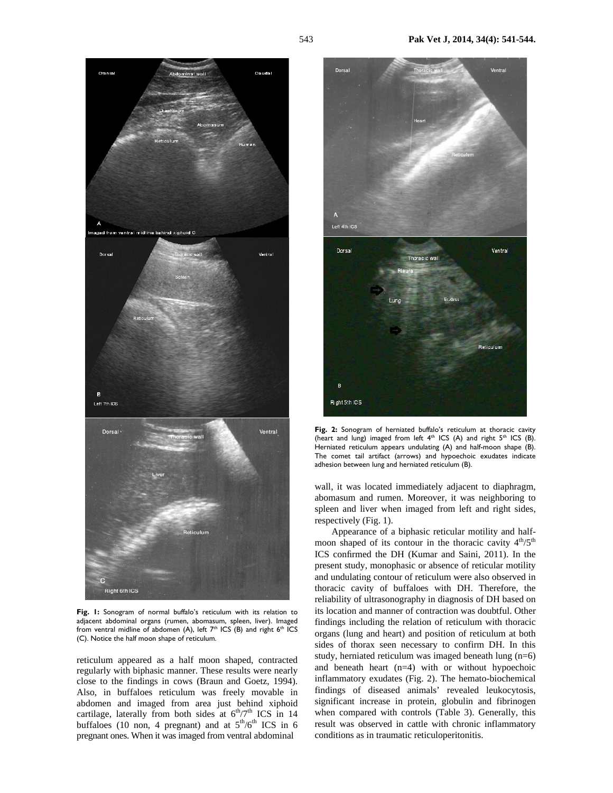



**Fig. 1:** Sonogram of normal buffalo's reticulum with its relation to adjacent abdominal organs (rumen, abomasum, spleen, liver). Imaged from ventral midline of abdomen (A), left  $7<sup>th</sup>$  ICS (B) and right  $6<sup>th</sup>$  ICS (C). Notice the half moon shape of reticulum.

reticulum appeared as a half moon shaped, contracted regularly with biphasic manner. These results were nearly close to the findings in cows (Braun and Goetz, 1994). Also, in buffaloes reticulum was freely movable in abdomen and imaged from area just behind xiphoid cartilage, laterally from both sides at  $6<sup>th</sup>/7<sup>th</sup>$  ICS in 14 buffaloes (10 non, 4 pregnant) and at  $5<sup>th</sup>/6<sup>th</sup>$  ICS in 6 pregnant ones. When it was imaged from ventral abdominal



**Fig. 2:** Sonogram of herniated buffalo's reticulum at thoracic cavity (heart and lung) imaged from left  $4<sup>th</sup>$  ICS (A) and right  $5<sup>th</sup>$  ICS (B). Herniated reticulum appears undulating (A) and half-moon shape (B). The comet tail artifact (arrows) and hypoechoic exudates indicate adhesion between lung and herniated reticulum (B).

wall, it was located immediately adjacent to diaphragm, abomasum and rumen. Moreover, it was neighboring to spleen and liver when imaged from left and right sides, respectively (Fig. 1).

Appearance of a biphasic reticular motility and halfmoon shaped of its contour in the thoracic cavity  $4<sup>th</sup>/5<sup>th</sup>$ ICS confirmed the DH (Kumar and Saini*,* 2011). In the present study, monophasic or absence of reticular motility and undulating contour of reticulum were also observed in thoracic cavity of buffaloes with DH. Therefore, the reliability of ultrasonography in diagnosis of DH based on its location and manner of contraction was doubtful. Other findings including the relation of reticulum with thoracic organs (lung and heart) and position of reticulum at both sides of thorax seen necessary to confirm DH. In this study, herniated reticulum was imaged beneath lung (n=6) and beneath heart (n=4) with or without hypoechoic inflammatory exudates (Fig. 2). The hemato-biochemical findings of diseased animals' revealed leukocytosis, significant increase in protein, globulin and fibrinogen when compared with controls (Table 3). Generally, this result was observed in cattle with chronic inflammatory conditions as in traumatic reticuloperitonitis.